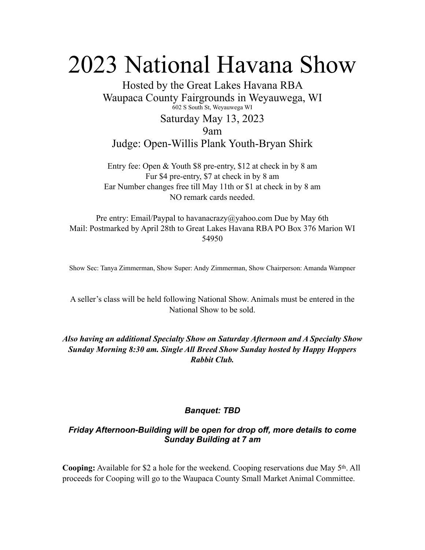## 2023 National Havana Show

Hosted by the Great Lakes Havana RBA Waupaca County Fairgrounds in Weyauwega, WI 602 S South St, Weyauwega WI Saturday May 13, 2023 9am Judge: Open-Willis Plank Youth-Bryan Shirk

Entry fee: Open & Youth \$8 pre-entry, \$12 at check in by 8 am Fur \$4 pre-entry, \$7 at check in by 8 am Ear Number changes free till May 11th or \$1 at check in by 8 am NO remark cards needed.

Pre entry: Email/Paypal to havanacrazy@yahoo.com Due by May 6th Mail: Postmarked by April 28th to Great Lakes Havana RBA PO Box 376 Marion WI 54950

Show Sec: Tanya Zimmerman, Show Super: Andy Zimmerman, Show Chairperson: Amanda Wampner

A seller's class will be held following National Show. Animals must be entered in the National Show to be sold.

*Also having an additional Specialty Show on Saturday Afternoon and A Specialty Show Sunday Morning 8:30 am. Single All Breed Show Sunday hosted by Happy Hoppers Rabbit Club.*

## *Banquet: TBD*

## *Friday Afternoon-Building will be open for drop off, more details to come Sunday Building at 7 am*

**Cooping:** Available for \$2 a hole for the weekend. Cooping reservations due May 5th. All proceeds for Cooping will go to the Waupaca County Small Market Animal Committee.